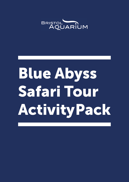

# Blue Abyss Safari Tour Activity Pack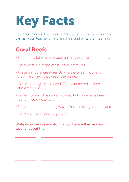## Key Facts

Circle words you don't understand and write them below. You can ask your teacher to explain them and write the meaning.

### Coral Reefs

- There are a lot of underwater animals that live in coral reefs.
- Coral reefs are made of tiny coral creatures.
- These tiny coral creatures stick to the ocean floor and grow hard shells that keeps them safe.
- Corals are brightly coloured. They can be red, yellow, purple, and even pink!
- Corals normally live in warm water, but some have been found in cold water too!
- Some coral reefs stop big waves from crashing into the land.
- Coral lives for a very long time!

#### Write down words you don't know here – then ask your teacher about them: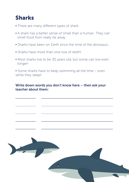### Sharks

- There are many different types of shark.
- A shark has a better sense of smell than a human. They can smell food from really far away.
- Sharks have been on Earth since the time of the dinosaurs.
- Sharks have more than one row of teeth!
- Most sharks live to be 30 years old, but some can live even longer!

• Some sharks have to keep swimming all the time – even while they sleep!

#### Write down words you don't know here – then ask your teacher about them:



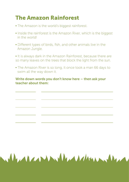### The Amazon Rainforest

- The Amazon is the world's biggest rainforest.
- Inside the rainforest is the Amazon River, which is the biggest in the world!
- Different types of birds, fish, and other animals live in the Amazon Jungle.
- It is always dark in the Amazon Rainforest, because there are so many leaves on the trees that block the light from the sun.
- The Amazon River is so long, it once took a man 66 days to swim all the way down it.

Alexandra Maria Maria

#### Write down words you don't know here – then ask your teacher about them: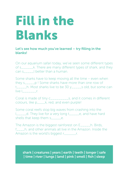### Fill in the Blanks

Let's see how much you've learned – try filling in the blanks!

On our aquarium safari today, we've seen some different types of s There are many different types of shark, and they can s\_\_\_\_\_l better than a human.

Some sharks have to keep moving all the time – even when they s\_\_\_\_\_p ! Some sharks have more than one row of t\_\_\_\_\_h. Most sharks live to be 30 y\_\_\_\_\_s old, but some can live l<sub>ive</sub> l

Coral is made of tiny c\_\_\_\_\_\_\_\_\_s, and it comes in different colours, like p\_\_\_\_k, red, and even purple!

Some coral reefs stop big waves from crashing into the l\_\_\_\_\_d. They live for a very long t\_\_\_\_\_e, and have hard shells that keep them s\_\_\_\_\_e.

The Amazon is the biggest rainforest on E\_\_\_\_\_h. Birds, f\_\_\_\_h, and other animals all live in the Amazon. Inside the Amazon is the world's biggest r c.

shark | creatures | years | earth | teeth | longer | safe | time | river | lungs | land | pink | smell | fish | sleep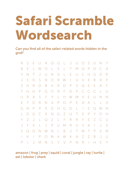## Safari Scramble Wordsearch

Can you find all of the safari-related words hidden in the grid?

| R         | S             | E              | $\bigcup$    | R                | $\mathcal{Q}$ | G               | - Li        | $\mathsf{J}$ | $\bigcup$    | $\Box$         | $S_{-}$                 | $\bigcup$     | $\mathbb N$   | Y            |
|-----------|---------------|----------------|--------------|------------------|---------------|-----------------|-------------|--------------|--------------|----------------|-------------------------|---------------|---------------|--------------|
| B         | E             | L              | W            | $\bigcirc$       | L.            | E.              | - Li        | $\top$       | M            | $\mathcal{Q}$  | $\mathsf{P}$            | $\bigcirc$    | $\mathcal{C}$ | $\forall$    |
| Y         | N             | Τ              | J            | $\cup$           | $\mathbb N$   | G               | L           | $E_{\perp}$  | $\bigcup$    | $\mathcal{C}$  | $\overline{\mathsf{H}}$ | G             | $\bigcirc$    | R            |
| J         | E             | $\Box$         | S            | $\mathbb N$      | $\bigcirc$    | $R_{\parallel}$ | W           | $\mathbb{R}$ |              | U V            | X                       | B             | R             | $\mathsf{P}$ |
| S         | Н             | R              | $\Box$       | B                | X             | R               | $\Box$      | $\mathsf{P}$ | S            | $\mathbb{Q}$   | E                       | Ε             | A             | F            |
| Y         | Н             | Н              | $\mathsf{P}$ | G                | $\bigcirc$    | $R_{\parallel}$ | F           | $\Box$       | $\mathsf{P}$ | $\mathsf{C}$   | $\mathsf{C}$            | $\mathbb{C}$  | L             | $\bigcup$    |
| $\bigcup$ | R             | $\overline{A}$ | S            | F                | Y.            | $\mathbb{L}$    | H.          |              | W W V        |                | E.                      | $\bigcup$     | $N_{\odot}$   | $\mathbb N$  |
| Ε         | Τ             | $\Box$         | R            | $\mathbb N$      | $X_{-}$       | $\mathsf{P}$    | $\bigcirc$  | $\mathsf{P}$ | E.           | $\Box$         | $\forall$               | L             | L.            | X            |
| G         | N             | $\mathsf{P}$   | $\mathsf{P}$ | $\mathsf{K}$     | $\Box$        | H.              | G           | $\Box$       | L            | $\mathbb{R}^2$ | E.                      | $\mathcal{Q}$ | W             | N            |
| L         | $\Box$        | G              | $\mathsf{C}$ | $X_{\mathbb{R}}$ | N             | G               | $Z_{\rm}$   | $\bigcup$    | $\top$       | E              | $\mathsf{P}$            | Y             | $\bigcirc$    | H            |
| Y         | Z             | J              | L            | $\mathcal{Q}$    | Z             | $\mathbb{L}$    | F           | R            | $R_{\rm}$    | F              | E.                      | Z             | $\mathsf{C}$  | $\bigcup$    |
| J         | F             | $\vee$         | L            | $\bigcup$        | $\mathsf{P}$  | $\bigcup$       | M           | R            | $\bigcup$    | S              | $\forall$               | $\mathbb{L}$  | J             | X            |
| S         | $\mathcal{Q}$ | $\mathcal{Q}$  | $\mathbb N$  | W                | $\mathbb N$   | $\mathsf{L}$    | $\mathsf B$ | J            | $\top$       | M              | $\top$                  | $\mathsf{P}$  | К.            | M            |
|           | К             |                | $\mathsf{P}$ | $\bigcirc$       | M             | К               | W           | К            | $\forall$    | Ζ              | Ζ                       | B             | J             | $\bigcup$    |
| P         |               | J              | M            | $\mathbb N$      | S             | Y               | $\sqrt{}$   | $\mathsf{P}$ | N            | R              | $\mathbb{R}$            | Н             | Е             | Y            |

amazon | frog | prey | squid | coral | jungle | ray | turtle | eel | lobster | shark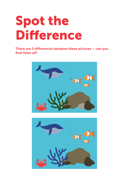### Spot the Difference

There are 5 differences between these pictures – can you find them all?



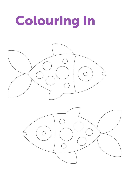## Colouring In

![](_page_7_Picture_1.jpeg)

![](_page_7_Picture_2.jpeg)